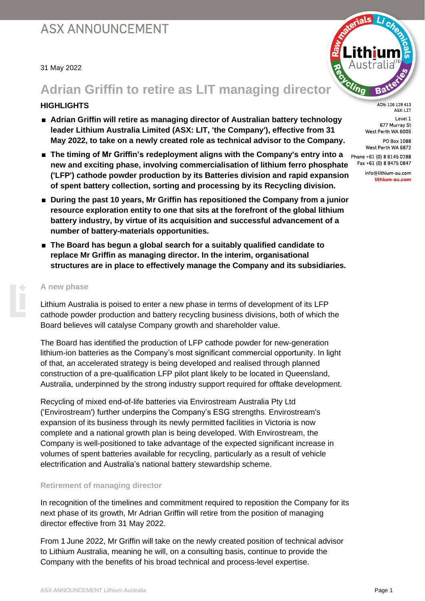#### 31 May 2022

### **Adrian Griffin to retire as LIT managing director**

### **HIGHLIGHTS**

- **Adrian Griffin will retire as managing director of Australian battery technology leader Lithium Australia Limited (ASX: LIT, 'the Company'), effective from 31 May 2022, to take on a newly created role as technical advisor to the Company.**
- **The timing of Mr Griffin's redeployment aligns with the Company's entry into a new and exciting phase, involving commercialisation of lithium ferro phosphate ('LFP') cathode powder production by its Batteries division and rapid expansion of spent battery collection, sorting and processing by its Recycling division.**
- **During the past 10 years, Mr Griffin has repositioned the Company from a junior resource exploration entity to one that sits at the forefront of the global lithium battery industry, by virtue of its acquisition and successful advancement of a number of battery-materials opportunities.**
- **The Board has begun a global search for a suitably qualified candidate to replace Mr Griffin as managing director. In the interim, organisational structures are in place to effectively manage the Company and its subsidiaries.**

#### **A new phase**

Lithium Australia is poised to enter a new phase in terms of development of its LFP cathode powder production and battery recycling business divisions, both of which the Board believes will catalyse Company growth and shareholder value.

The Board has identified the production of LFP cathode powder for new-generation lithium-ion batteries as the Company's most significant commercial opportunity. In light of that, an accelerated strategy is being developed and realised through planned construction of a pre-qualification LFP pilot plant likely to be located in Queensland, Australia, underpinned by the strong industry support required for offtake development.

Recycling of mixed end-of-life batteries via Envirostream Australia Pty Ltd ('Envirostream') further underpins the Company's ESG strengths. Envirostream's expansion of its business through its newly permitted facilities in Victoria is now complete and a national growth plan is being developed. With Envirostream, the Company is well-positioned to take advantage of the expected significant increase in volumes of spent batteries available for recycling, particularly as a result of vehicle electrification and Australia's national battery stewardship scheme.

### **Retirement of managing director**

In recognition of the timelines and commitment required to reposition the Company for its next phase of its growth, Mr Adrian Griffin will retire from the position of managing director effective from 31 May 2022.

From 1 June 2022, Mr Griffin will take on the newly created position of technical advisor to Lithium Australia, meaning he will, on a consulting basis, continue to provide the Company with the benefits of his broad technical and process-level expertise.



ACN: 126 129 413 ASX: LIT Level 1 677 Murray St West Perth WA 6005

PO Box 1088 West Perth WA 6872

Phone +61 (0) 8 6145 0288 Fax +61 (0) 8 9475 0847

> info@lithium-au.com lithium-au.com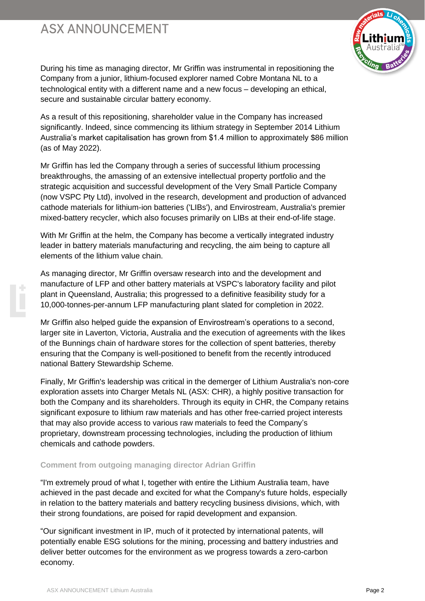# **ASX ANNOUNCEMENT**



During his time as managing director, Mr Griffin was instrumental in repositioning the Company from a junior, lithium-focused explorer named Cobre Montana NL to a technological entity with a different name and a new focus – developing an ethical, secure and sustainable circular battery economy.

As a result of this repositioning, shareholder value in the Company has increased significantly. Indeed, since commencing its lithium strategy in September 2014 Lithium Australia's market capitalisation has grown from \$1.4 million to approximately \$86 million (as of May 2022).

Mr Griffin has led the Company through a series of successful lithium processing breakthroughs, the amassing of an extensive intellectual property portfolio and the strategic acquisition and successful development of the Very Small Particle Company (now VSPC Pty Ltd), involved in the research, development and production of advanced cathode materials for lithium-ion batteries ('LIBs'), and Envirostream, Australia's premier mixed-battery recycler, which also focuses primarily on LIBs at their end-of-life stage.

With Mr Griffin at the helm, the Company has become a vertically integrated industry leader in battery materials manufacturing and recycling, the aim being to capture all elements of the lithium value chain.

As managing director, Mr Griffin oversaw research into and the development and manufacture of LFP and other battery materials at VSPC's laboratory facility and pilot plant in Queensland, Australia; this progressed to a definitive feasibility study for a 10,000-tonnes-per-annum LFP manufacturing plant slated for completion in 2022.

Mr Griffin also helped guide the expansion of Envirostream's operations to a second, larger site in Laverton, Victoria, Australia and the execution of agreements with the likes of the Bunnings chain of hardware stores for the collection of spent batteries, thereby ensuring that the Company is well-positioned to benefit from the recently introduced national Battery Stewardship Scheme.

Finally, Mr Griffin's leadership was critical in the demerger of Lithium Australia's non-core exploration assets into Charger Metals NL (ASX: CHR), a highly positive transaction for both the Company and its shareholders. Through its equity in CHR, the Company retains significant exposure to lithium raw materials and has other free-carried project interests that may also provide access to various raw materials to feed the Company's proprietary, downstream processing technologies, including the production of lithium chemicals and cathode powders.

### **Comment from outgoing managing director Adrian Griffin**

"I'm extremely proud of what I, together with entire the Lithium Australia team, have achieved in the past decade and excited for what the Company's future holds, especially in relation to the battery materials and battery recycling business divisions, which, with their strong foundations, are poised for rapid development and expansion.

"Our significant investment in IP, much of it protected by international patents, will potentially enable ESG solutions for the mining, processing and battery industries and deliver better outcomes for the environment as we progress towards a zero-carbon economy.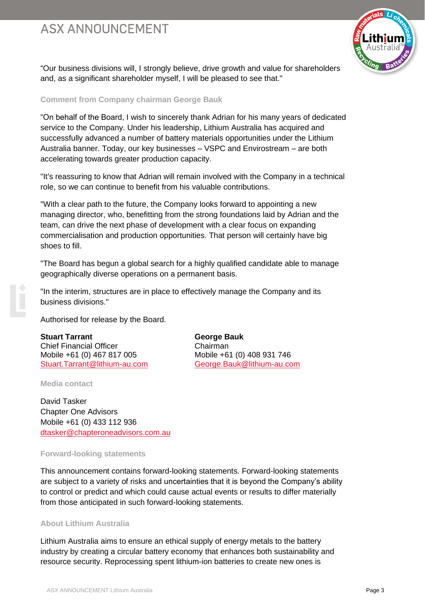# **ASX ANNOUNCEMENT**



"Our business divisions will, I strongly believe, drive growth and value for shareholders and, as a significant shareholder myself, I will be pleased to see that."

#### **Comment from Company chairman George Bauk**

"On behalf of the Board, I wish to sincerely thank Adrian for his many years of dedicated service to the Company. Under his leadership, Lithium Australia has acquired and successfully advanced a number of battery materials opportunities under the Lithium Australia banner. Today, our key businesses – VSPC and Envirostream – are both accelerating towards greater production capacity.

"It's reassuring to know that Adrian will remain involved with the Company in a technical role, so we can continue to benefit from his valuable contributions.

"With a clear path to the future, the Company looks forward to appointing a new managing director, who, benefitting from the strong foundations laid by Adrian and the team, can drive the next phase of development with a clear focus on expanding commercialisation and production opportunities. That person will certainly have big shoes to fill.

"The Board has begun a global search for a highly qualified candidate able to manage geographically diverse operations on a permanent basis.

"In the interim, structures are in place to effectively manage the Company and its business divisions."

Authorised for release by the Board.

**Stuart Tarrant George Bauk** Chief Financial Officer Chairman Mobile +61 (0) 467 817 005 Mobile +61 (0) 408 931 746 [Stuart.Tarrant@lithium-au.com](mailto:Adrian.Griffin@lithium-au.com) [George.Bauk@lithium-au.com](mailto:Barry.Woodhouse@lithium-au.com)

**Media contact**

David Tasker Chapter One Advisors Mobile +61 (0) 433 112 936 [dtasker@chapteroneadvisors.com.au](mailto:dtasker@chapteroneadvisors.com.au)

### **Forward-looking statements**

This announcement contains forward-looking statements. Forward-looking statements are subject to a variety of risks and uncertainties that it is beyond the Company's ability to control or predict and which could cause actual events or results to differ materially from those anticipated in such forward-looking statements.

#### **About Lithium Australia**

Lithium Australia aims to ensure an ethical supply of energy metals to the battery industry by creating a circular battery economy that enhances both sustainability and resource security. Reprocessing spent lithium-ion batteries to create new ones is